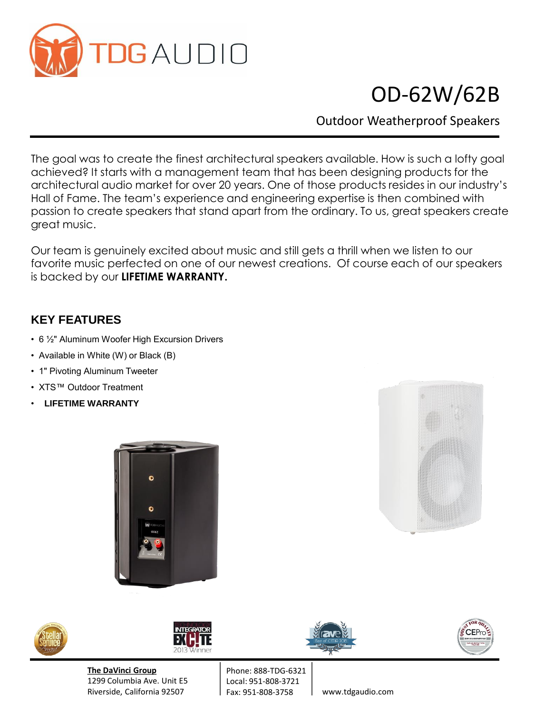

## OD-62W/62B

Outdoor Weatherproof Speakers

The goal was to create the finest architectural speakers available. How is such a lofty goal achieved? It starts with a management team that has been designing products for the architectural audio market for over 20 years. One of those products resides in our industry's Hall of Fame. The team's experience and engineering expertise is then combined with passion to create speakers that stand apart from the ordinary. To us, great speakers create great music.

Our team is genuinely excited about music and still gets a thrill when we listen to our favorite music perfected on one of our newest creations. Of course each of our speakers is backed by our **LIFETIME WARRANTY.** 

## **KEY FEATURES**

- 6 ½" Aluminum Woofer High Excursion Drivers
- Available in White (W) or Black (B)
- 1" Pivoting Aluminum Tweeter
- XTS™ Outdoor Treatment
- **LIFETIME WARRANTY**









**The DaVinci Group** 1299 Columbia Ave. Unit E5 Riverside, California 92507







www.tdgaudio.com